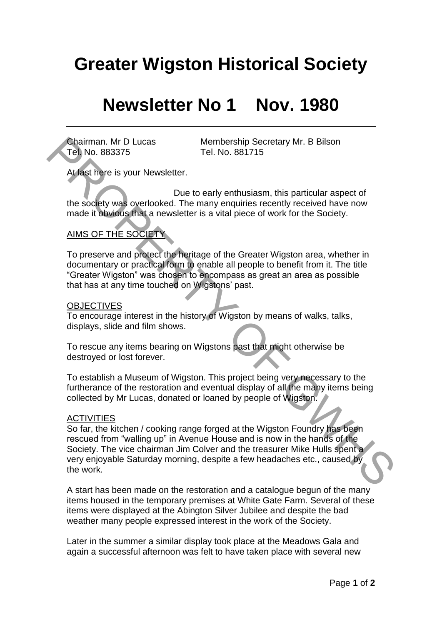# **Greater Wigston Historical Society**

## **Newsletter No 1 Nov. 1980**

Tel. No. 883375 Tel. No. 881715

Chairman. Mr D Lucas Membership Secretary Mr. B Bilson

At last here is your Newsletter.

 Due to early enthusiasm, this particular aspect of the society was overlooked. The many enquiries recently received have now made it obvious that a newsletter is a vital piece of work for the Society.

## AIMS OF THE SOCIETY

To preserve and protect the heritage of the Greater Wigston area, whether in documentary or practical form to enable all people to benefit from it. The title "Greater Wigston" was chosen to encompass as great an area as possible that has at any time touched on Wigstons' past.

#### **OBJECTIVES**

To encourage interest in the history of Wigston by means of walks, talks, displays, slide and film shows.

To rescue any items bearing on Wigstons past that might otherwise be destroyed or lost forever.

To establish a Museum of Wigston. This project being very necessary to the furtherance of the restoration and eventual display of all the many items being collected by Mr Lucas, donated or loaned by people of Wigston.

#### **ACTIVITIES**

So far, the kitchen / cooking range forged at the Wigston Foundry has been rescued from "walling up" in Avenue House and is now in the hands of the Society. The vice chairman Jim Colver and the treasurer Mike Hulls spent a very enjoyable Saturday morning, despite a few headaches etc., caused by the work. Chairman. Mr D Lucas<br>
Tel. No. 88375<br>
At last have is your Newsletter.<br>
Due to early enhusiasm, this particular aspect of<br>
the sodely was overlooked. The mary enquiries recently received have now<br>
made it bowdus that a new

A start has been made on the restoration and a catalogue begun of the many items housed in the temporary premises at White Gate Farm. Several of these items were displayed at the Abington Silver Jubilee and despite the bad weather many people expressed interest in the work of the Society.

Later in the summer a similar display took place at the Meadows Gala and again a successful afternoon was felt to have taken place with several new